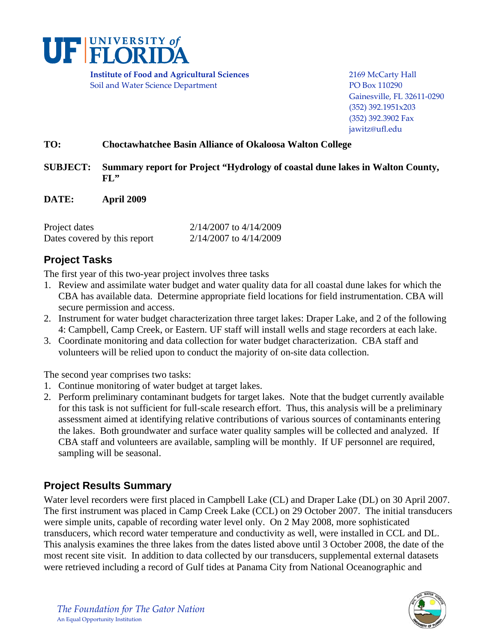

 **Institute of Food and Agricultural Sciences** 2169 McCarty Hall Soil and Water Science Department PO Box 110290

Gainesville, FL 32611‐0290 (352) 392.1951x203 (352) 392.3902 Fax jawitz@ufl.edu

#### **TO: Choctawhatchee Basin Alliance of Okaloosa Walton College**

**SUBJECT: Summary report for Project "Hydrology of coastal dune lakes in Walton County, FL"** 

#### **DATE: April 2009**

| Project dates                | $2/14/2007$ to $4/14/2009$ |
|------------------------------|----------------------------|
| Dates covered by this report | 2/14/2007 to 4/14/2009     |

### **Project Tasks**

The first year of this two-year project involves three tasks

- 1. Review and assimilate water budget and water quality data for all coastal dune lakes for which the CBA has available data. Determine appropriate field locations for field instrumentation. CBA will secure permission and access.
- 2. Instrument for water budget characterization three target lakes: Draper Lake, and 2 of the following 4: Campbell, Camp Creek, or Eastern. UF staff will install wells and stage recorders at each lake.
- 3. Coordinate monitoring and data collection for water budget characterization. CBA staff and volunteers will be relied upon to conduct the majority of on-site data collection.

The second year comprises two tasks:

- 1. Continue monitoring of water budget at target lakes.
- 2. Perform preliminary contaminant budgets for target lakes. Note that the budget currently available for this task is not sufficient for full-scale research effort. Thus, this analysis will be a preliminary assessment aimed at identifying relative contributions of various sources of contaminants entering the lakes. Both groundwater and surface water quality samples will be collected and analyzed. If CBA staff and volunteers are available, sampling will be monthly. If UF personnel are required, sampling will be seasonal.

## **Project Results Summary**

Water level recorders were first placed in Campbell Lake (CL) and Draper Lake (DL) on 30 April 2007. The first instrument was placed in Camp Creek Lake (CCL) on 29 October 2007. The initial transducers were simple units, capable of recording water level only. On 2 May 2008, more sophisticated transducers, which record water temperature and conductivity as well, were installed in CCL and DL. This analysis examines the three lakes from the dates listed above until 3 October 2008, the date of the most recent site visit. In addition to data collected by our transducers, supplemental external datasets were retrieved including a record of Gulf tides at Panama City from National Oceanographic and

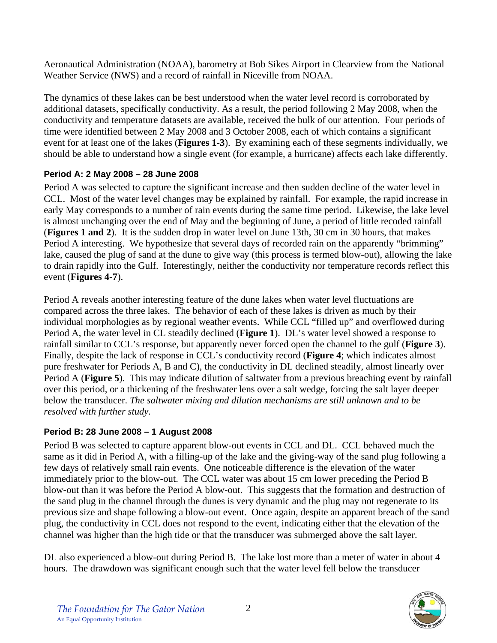Aeronautical Administration (NOAA), barometry at Bob Sikes Airport in Clearview from the National Weather Service (NWS) and a record of rainfall in Niceville from NOAA.

The dynamics of these lakes can be best understood when the water level record is corroborated by additional datasets, specifically conductivity. As a result, the period following 2 May 2008, when the conductivity and temperature datasets are available, received the bulk of our attention. Four periods of time were identified between 2 May 2008 and 3 October 2008, each of which contains a significant event for at least one of the lakes (**Figures 1-3**). By examining each of these segments individually, we should be able to understand how a single event (for example, a hurricane) affects each lake differently.

## **Period A: 2 May 2008 – 28 June 2008**

Period A was selected to capture the significant increase and then sudden decline of the water level in CCL. Most of the water level changes may be explained by rainfall. For example, the rapid increase in early May corresponds to a number of rain events during the same time period. Likewise, the lake level is almost unchanging over the end of May and the beginning of June, a period of little recoded rainfall (**Figures 1 and 2**). It is the sudden drop in water level on June 13th, 30 cm in 30 hours, that makes Period A interesting. We hypothesize that several days of recorded rain on the apparently "brimming" lake, caused the plug of sand at the dune to give way (this process is termed blow-out), allowing the lake to drain rapidly into the Gulf. Interestingly, neither the conductivity nor temperature records reflect this event (**Figures 4-7**).

Period A reveals another interesting feature of the dune lakes when water level fluctuations are compared across the three lakes. The behavior of each of these lakes is driven as much by their individual morphologies as by regional weather events. While CCL "filled up" and overflowed during Period A, the water level in CL steadily declined (**Figure 1**). DL's water level showed a response to rainfall similar to CCL's response, but apparently never forced open the channel to the gulf (**Figure 3**). Finally, despite the lack of response in CCL's conductivity record (**Figure 4**; which indicates almost pure freshwater for Periods A, B and C), the conductivity in DL declined steadily, almost linearly over Period A (**Figure 5**). This may indicate dilution of saltwater from a previous breaching event by rainfall over this period, or a thickening of the freshwater lens over a salt wedge, forcing the salt layer deeper below the transducer. *The saltwater mixing and dilution mechanisms are still unknown and to be resolved with further study.*

## **Period B: 28 June 2008 – 1 August 2008**

Period B was selected to capture apparent blow-out events in CCL and DL. CCL behaved much the same as it did in Period A, with a filling-up of the lake and the giving-way of the sand plug following a few days of relatively small rain events. One noticeable difference is the elevation of the water immediately prior to the blow-out. The CCL water was about 15 cm lower preceding the Period B blow-out than it was before the Period A blow-out. This suggests that the formation and destruction of the sand plug in the channel through the dunes is very dynamic and the plug may not regenerate to its previous size and shape following a blow-out event. Once again, despite an apparent breach of the sand plug, the conductivity in CCL does not respond to the event, indicating either that the elevation of the channel was higher than the high tide or that the transducer was submerged above the salt layer.

DL also experienced a blow-out during Period B. The lake lost more than a meter of water in about 4 hours. The drawdown was significant enough such that the water level fell below the transducer

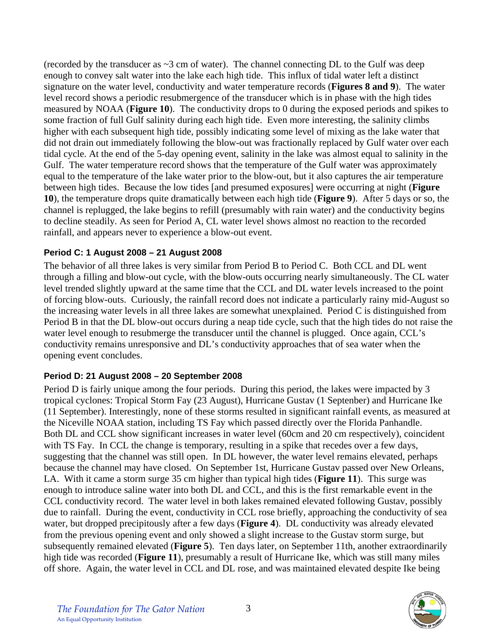(recorded by the transducer as  $\sim$ 3 cm of water). The channel connecting DL to the Gulf was deep enough to convey salt water into the lake each high tide. This influx of tidal water left a distinct signature on the water level, conductivity and water temperature records (**Figures 8 and 9**). The water level record shows a periodic resubmergence of the transducer which is in phase with the high tides measured by NOAA (**Figure 10**). The conductivity drops to 0 during the exposed periods and spikes to some fraction of full Gulf salinity during each high tide. Even more interesting, the salinity climbs higher with each subsequent high tide, possibly indicating some level of mixing as the lake water that did not drain out immediately following the blow-out was fractionally replaced by Gulf water over each tidal cycle. At the end of the 5-day opening event, salinity in the lake was almost equal to salinity in the Gulf. The water temperature record shows that the temperature of the Gulf water was approximately equal to the temperature of the lake water prior to the blow-out, but it also captures the air temperature between high tides. Because the low tides [and presumed exposures] were occurring at night (**Figure 10**), the temperature drops quite dramatically between each high tide (**Figure 9**). After 5 days or so, the channel is replugged, the lake begins to refill (presumably with rain water) and the conductivity begins to decline steadily. As seen for Period A, CL water level shows almost no reaction to the recorded rainfall, and appears never to experience a blow-out event.

#### **Period C: 1 August 2008 – 21 August 2008**

The behavior of all three lakes is very similar from Period B to Period C. Both CCL and DL went through a filling and blow-out cycle, with the blow-outs occurring nearly simultaneously. The CL water level trended slightly upward at the same time that the CCL and DL water levels increased to the point of forcing blow-outs. Curiously, the rainfall record does not indicate a particularly rainy mid-August so the increasing water levels in all three lakes are somewhat unexplained. Period C is distinguished from Period B in that the DL blow-out occurs during a neap tide cycle, such that the high tides do not raise the water level enough to resubmerge the transducer until the channel is plugged. Once again, CCL's conductivity remains unresponsive and DL's conductivity approaches that of sea water when the opening event concludes.

#### **Period D: 21 August 2008 – 20 September 2008**

Period D is fairly unique among the four periods. During this period, the lakes were impacted by 3 tropical cyclones: Tropical Storm Fay (23 August), Hurricane Gustav (1 Septenber) and Hurricane Ike (11 September). Interestingly, none of these storms resulted in significant rainfall events, as measured at the Niceville NOAA station, including TS Fay which passed directly over the Florida Panhandle. Both DL and CCL show significant increases in water level (60cm and 20 cm respectively), coincident with TS Fay. In CCL the change is temporary, resulting in a spike that recedes over a few days, suggesting that the channel was still open. In DL however, the water level remains elevated, perhaps because the channel may have closed. On September 1st, Hurricane Gustav passed over New Orleans, LA. With it came a storm surge 35 cm higher than typical high tides (**Figure 11**). This surge was enough to introduce saline water into both DL and CCL, and this is the first remarkable event in the CCL conductivity record. The water level in both lakes remained elevated following Gustav, possibly due to rainfall. During the event, conductivity in CCL rose briefly, approaching the conductivity of sea water, but dropped precipitously after a few days (**Figure 4**). DL conductivity was already elevated from the previous opening event and only showed a slight increase to the Gustav storm surge, but subsequently remained elevated (**Figure 5**). Ten days later, on September 11th, another extraordinarily high tide was recorded (**Figure 11**), presumably a result of Hurricane Ike, which was still many miles off shore. Again, the water level in CCL and DL rose, and was maintained elevated despite Ike being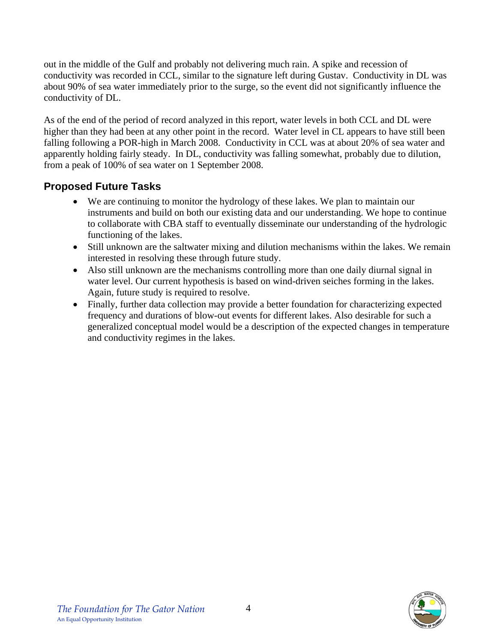out in the middle of the Gulf and probably not delivering much rain. A spike and recession of conductivity was recorded in CCL, similar to the signature left during Gustav. Conductivity in DL was about 90% of sea water immediately prior to the surge, so the event did not significantly influence the conductivity of DL.

As of the end of the period of record analyzed in this report, water levels in both CCL and DL were higher than they had been at any other point in the record. Water level in CL appears to have still been falling following a POR-high in March 2008. Conductivity in CCL was at about 20% of sea water and apparently holding fairly steady. In DL, conductivity was falling somewhat, probably due to dilution, from a peak of 100% of sea water on 1 September 2008.

# **Proposed Future Tasks**

- We are continuing to monitor the hydrology of these lakes. We plan to maintain our instruments and build on both our existing data and our understanding. We hope to continue to collaborate with CBA staff to eventually disseminate our understanding of the hydrologic functioning of the lakes.
- Still unknown are the saltwater mixing and dilution mechanisms within the lakes. We remain interested in resolving these through future study.
- Also still unknown are the mechanisms controlling more than one daily diurnal signal in water level. Our current hypothesis is based on wind-driven seiches forming in the lakes. Again, future study is required to resolve.
- Finally, further data collection may provide a better foundation for characterizing expected frequency and durations of blow-out events for different lakes. Also desirable for such a generalized conceptual model would be a description of the expected changes in temperature and conductivity regimes in the lakes.

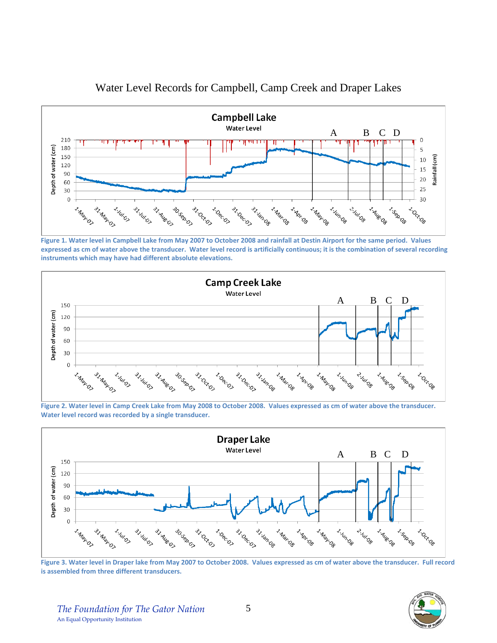

### Water Level Records for Campbell, Camp Creek and Draper Lakes

Figure 1. Water level in Campbell Lake from May 2007 to October 2008 and rainfall at Destin Airport for the same period. Values expressed as cm of water above the transducer. Water level record is artificially continuous; it is the combination of several recording **instruments which may have had different absolute elevations.** 



Figure 2. Water level in Camp Creek Lake from May 2008 to October 2008. Values expressed as cm of water above the transducer. **Water level record was recorded by a single transducer.**



Figure 3. Water level in Draper lake from May 2007 to October 2008. Values expressed as cm of water above the transducer. Full record **is assembled from three different transducers.**

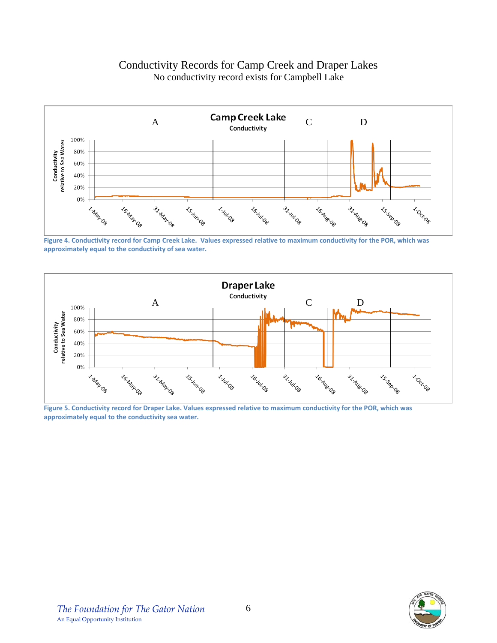



Figure 4. Conductivity record for Camp Creek Lake. Values expressed relative to maximum conductivity for the POR, which was **approximately equal to the conductivity of sea water.**



Figure 5. Conductivity record for Draper Lake. Values expressed relative to maximum conductivity for the POR, which was **approximately equal to the conductivity sea water.**

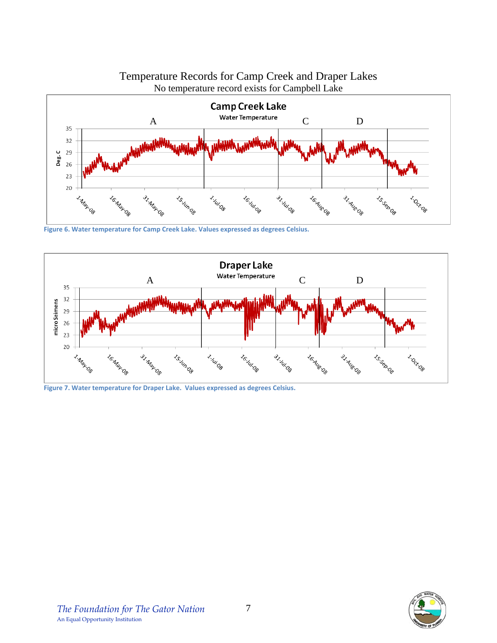

Temperature Records for Camp Creek and Draper Lakes

**Figure 6. Water temperature for Camp Creek Lake. Values expressed as degrees Celsius.**





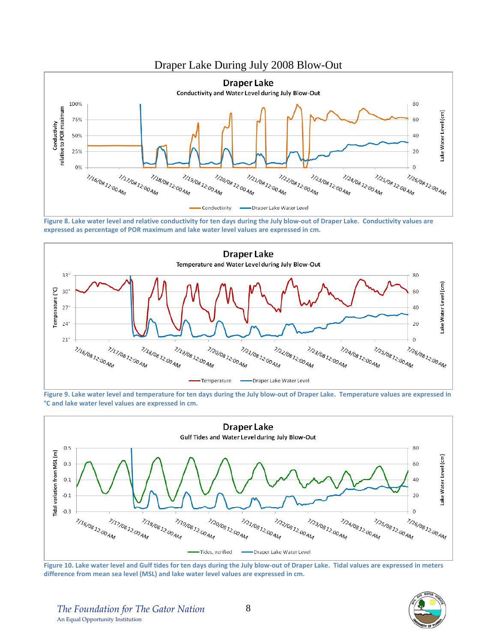

Draper Lake During July 2008 Blow-Out

Figure 8. Lake water level and relative conductivity for ten days during the July blow-out of Draper Lake. Conductivity values are **expressed as percentage of POR maximum and lake water level values are expressed in cm.**



Figure 9. Lake water level and temperature for ten days during the July blow-out of Draper Lake. Temperature values are expressed in **°C and lake water level values are expressed in cm.**



Figure 10. Lake water level and Gulf tides for ten days during the July blow-out of Draper Lake. Tidal values are expressed in meters **difference from mean sea level (MSL) and lake water level values are expressed in cm.**

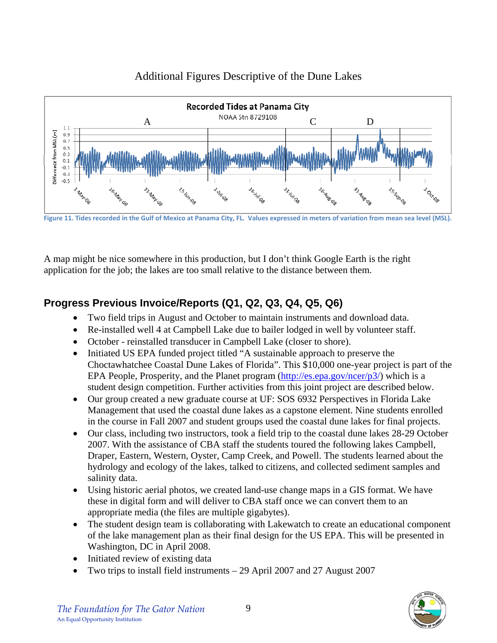

# Additional Figures Descriptive of the Dune Lakes

Figure 11. Tides recorded in the Gulf of Mexico at Panama City, FL. Values expressed in meters of variation from mean sea level (MSL).

A map might be nice somewhere in this production, but I don't think Google Earth is the right application for the job; the lakes are too small relative to the distance between them.

# **Progress Previous Invoice/Reports (Q1, Q2, Q3, Q4, Q5, Q6)**

- Two field trips in August and October to maintain instruments and download data.
- Re-installed well 4 at Campbell Lake due to bailer lodged in well by volunteer staff.
- October reinstalled transducer in Campbell Lake (closer to shore).
- Initiated US EPA funded project titled "A sustainable approach to preserve the Choctawhatchee Coastal Dune Lakes of Florida". This \$10,000 one-year project is part of the EPA People, Prosperity, and the Planet program [\(http://es.epa.gov/ncer/p3/](http://es.epa.gov/ncer/p3/)) which is a student design competition. Further activities from this joint project are described below.
- Our group created a new graduate course at UF: SOS 6932 Perspectives in Florida Lake Management that used the coastal dune lakes as a capstone element. Nine students enrolled in the course in Fall 2007 and student groups used the coastal dune lakes for final projects.
- Our class, including two instructors, took a field trip to the coastal dune lakes 28-29 October 2007. With the assistance of CBA staff the students toured the following lakes Campbell, Draper, Eastern, Western, Oyster, Camp Creek, and Powell. The students learned about the hydrology and ecology of the lakes, talked to citizens, and collected sediment samples and salinity data.
- Using historic aerial photos, we created land-use change maps in a GIS format. We have these in digital form and will deliver to CBA staff once we can convert them to an appropriate media (the files are multiple gigabytes).
- The student design team is collaborating with Lakewatch to create an educational component of the lake management plan as their final design for the US EPA. This will be presented in Washington, DC in April 2008.
- Initiated review of existing data
- Two trips to install field instruments 29 April 2007 and 27 August 2007